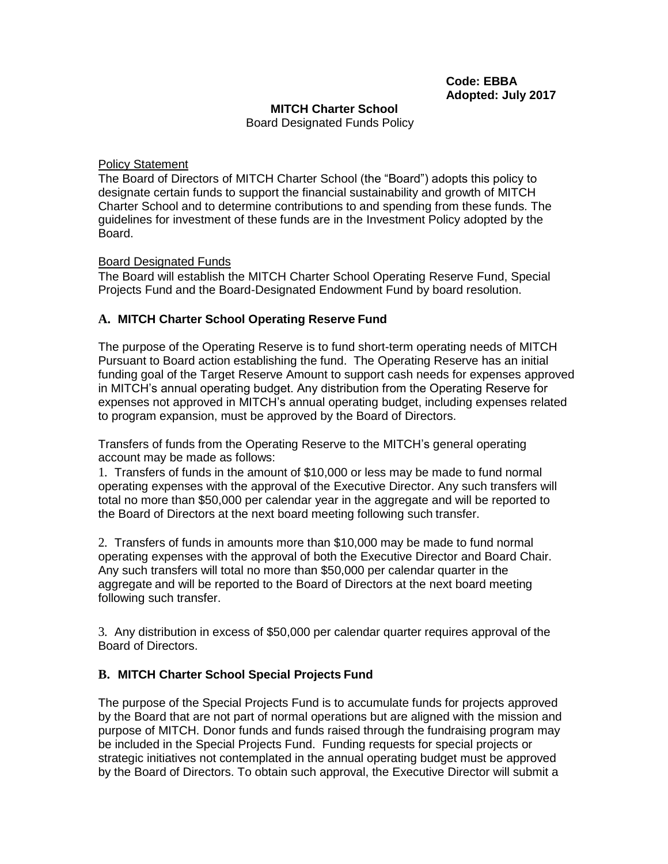#### **MITCH Charter School**

Board Designated Funds Policy

#### Policy Statement

The Board of Directors of MITCH Charter School (the "Board") adopts this policy to designate certain funds to support the financial sustainability and growth of MITCH Charter School and to determine contributions to and spending from these funds. The guidelines for investment of these funds are in the Investment Policy adopted by the Board.

## Board Designated Funds

The Board will establish the MITCH Charter School Operating Reserve Fund, Special Projects Fund and the Board-Designated Endowment Fund by board resolution.

## **A. MITCH Charter School Operating Reserve Fund**

The purpose of the Operating Reserve is to fund short-term operating needs of MITCH Pursuant to Board action establishing the fund. The Operating Reserve has an initial funding goal of the Target Reserve Amount to support cash needs for expenses approved in MITCH's annual operating budget. Any distribution from the Operating Reserve for expenses not approved in MITCH's annual operating budget, including expenses related to program expansion, must be approved by the Board of Directors.

Transfers of funds from the Operating Reserve to the MITCH's general operating account may be made as follows:

1. Transfers of funds in the amount of \$10,000 or less may be made to fund normal operating expenses with the approval of the Executive Director. Any such transfers will total no more than \$50,000 per calendar year in the aggregate and will be reported to the Board of Directors at the next board meeting following such transfer.

2. Transfers of funds in amounts more than \$10,000 may be made to fund normal operating expenses with the approval of both the Executive Director and Board Chair. Any such transfers will total no more than \$50,000 per calendar quarter in the aggregate and will be reported to the Board of Directors at the next board meeting following such transfer.

3. Any distribution in excess of \$50,000 per calendar quarter requires approval of the Board of Directors.

## **B. MITCH Charter School Special Projects Fund**

The purpose of the Special Projects Fund is to accumulate funds for projects approved by the Board that are not part of normal operations but are aligned with the mission and purpose of MITCH. Donor funds and funds raised through the fundraising program may be included in the Special Projects Fund. Funding requests for special projects or strategic initiatives not contemplated in the annual operating budget must be approved by the Board of Directors. To obtain such approval, the Executive Director will submit a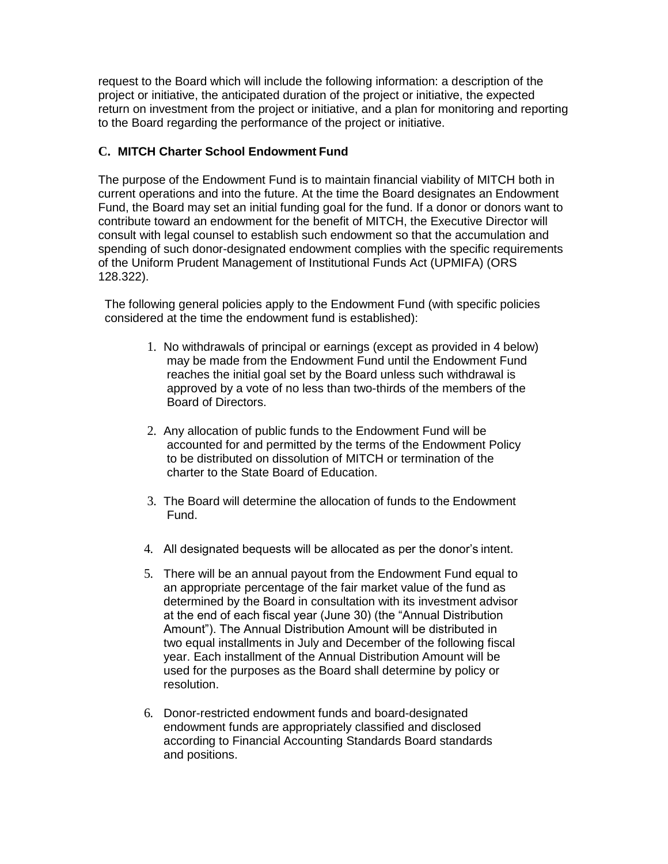request to the Board which will include the following information: a description of the project or initiative, the anticipated duration of the project or initiative, the expected return on investment from the project or initiative, and a plan for monitoring and reporting to the Board regarding the performance of the project or initiative.

# **C. MITCH Charter School Endowment Fund**

The purpose of the Endowment Fund is to maintain financial viability of MITCH both in current operations and into the future. At the time the Board designates an Endowment Fund, the Board may set an initial funding goal for the fund. If a donor or donors want to contribute toward an endowment for the benefit of MITCH, the Executive Director will consult with legal counsel to establish such endowment so that the accumulation and spending of such donor-designated endowment complies with the specific requirements of the Uniform Prudent Management of Institutional Funds Act (UPMIFA) (ORS 128.322).

The following general policies apply to the Endowment Fund (with specific policies considered at the time the endowment fund is established):

- 1. No withdrawals of principal or earnings (except as provided in 4 below) may be made from the Endowment Fund until the Endowment Fund reaches the initial goal set by the Board unless such withdrawal is approved by a vote of no less than two-thirds of the members of the Board of Directors.
- 2. Any allocation of public funds to the Endowment Fund will be accounted for and permitted by the terms of the Endowment Policy to be distributed on dissolution of MITCH or termination of the charter to the State Board of Education.
- 3. The Board will determine the allocation of funds to the Endowment Fund.
- 4. All designated bequests will be allocated as per the donor's intent.
- 5. There will be an annual payout from the Endowment Fund equal to an appropriate percentage of the fair market value of the fund as determined by the Board in consultation with its investment advisor at the end of each fiscal year (June 30) (the "Annual Distribution Amount"). The Annual Distribution Amount will be distributed in two equal installments in July and December of the following fiscal year. Each installment of the Annual Distribution Amount will be used for the purposes as the Board shall determine by policy or resolution.
- 6. Donor-restricted endowment funds and board-designated endowment funds are appropriately classified and disclosed according to Financial Accounting Standards Board standards and positions.